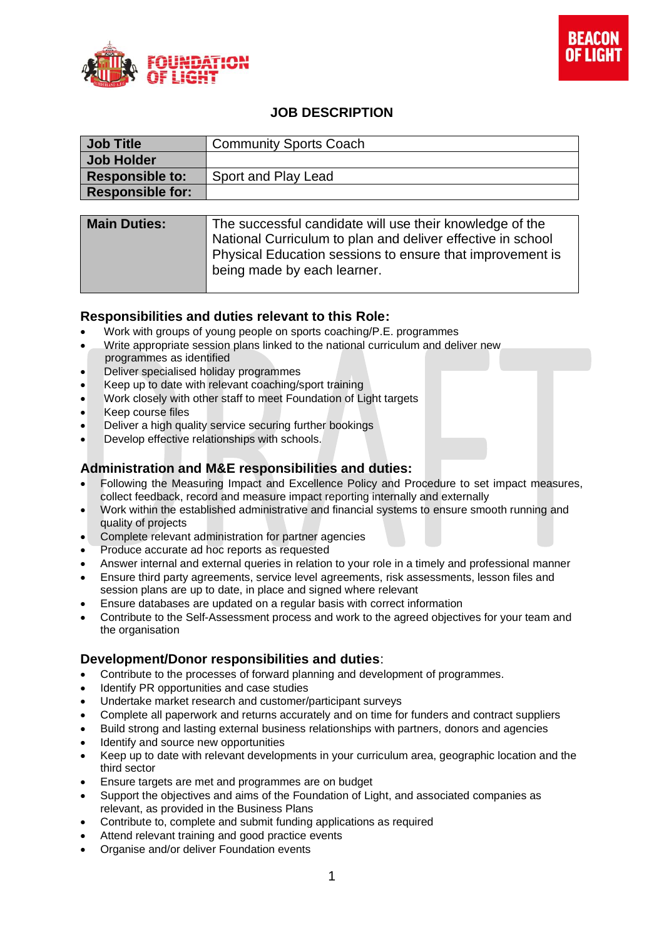



# **JOB DESCRIPTION**

| Job Title               | <b>Community Sports Coach</b> |
|-------------------------|-------------------------------|
| Job Holder              |                               |
| <b>Responsible to:</b>  | Sport and Play Lead           |
| <b>Responsible for:</b> |                               |
|                         |                               |

| <b>Main Duties:</b> | The successful candidate will use their knowledge of the<br>National Curriculum to plan and deliver effective in school<br>Physical Education sessions to ensure that improvement is<br>being made by each learner. |
|---------------------|---------------------------------------------------------------------------------------------------------------------------------------------------------------------------------------------------------------------|
|                     |                                                                                                                                                                                                                     |

### **Responsibilities and duties relevant to this Role:**

- Work with groups of young people on sports coaching/P.E. programmes
- Write appropriate session plans linked to the national curriculum and deliver new programmes as identified
- Deliver specialised holiday programmes
- Keep up to date with relevant coaching/sport training
- Work closely with other staff to meet Foundation of Light targets
- Keep course files
- Deliver a high quality service securing further bookings
- Develop effective relationships with schools.

# **Administration and M&E responsibilities and duties:**

- Following the Measuring Impact and Excellence Policy and Procedure to set impact measures, collect feedback, record and measure impact reporting internally and externally
- Work within the established administrative and financial systems to ensure smooth running and quality of projects
- Complete relevant administration for partner agencies
- Produce accurate ad hoc reports as requested
- Answer internal and external queries in relation to your role in a timely and professional manner
- Ensure third party agreements, service level agreements, risk assessments, lesson files and session plans are up to date, in place and signed where relevant
- Ensure databases are updated on a regular basis with correct information
- Contribute to the Self-Assessment process and work to the agreed objectives for your team and the organisation

# **Development/Donor responsibilities and duties**:

- Contribute to the processes of forward planning and development of programmes.
- Identify PR opportunities and case studies
- Undertake market research and customer/participant surveys
- Complete all paperwork and returns accurately and on time for funders and contract suppliers
- Build strong and lasting external business relationships with partners, donors and agencies
- Identify and source new opportunities
- Keep up to date with relevant developments in your curriculum area, geographic location and the third sector
- Ensure targets are met and programmes are on budget
- Support the objectives and aims of the Foundation of Light, and associated companies as relevant, as provided in the Business Plans
- Contribute to, complete and submit funding applications as required
- Attend relevant training and good practice events
- Organise and/or deliver Foundation events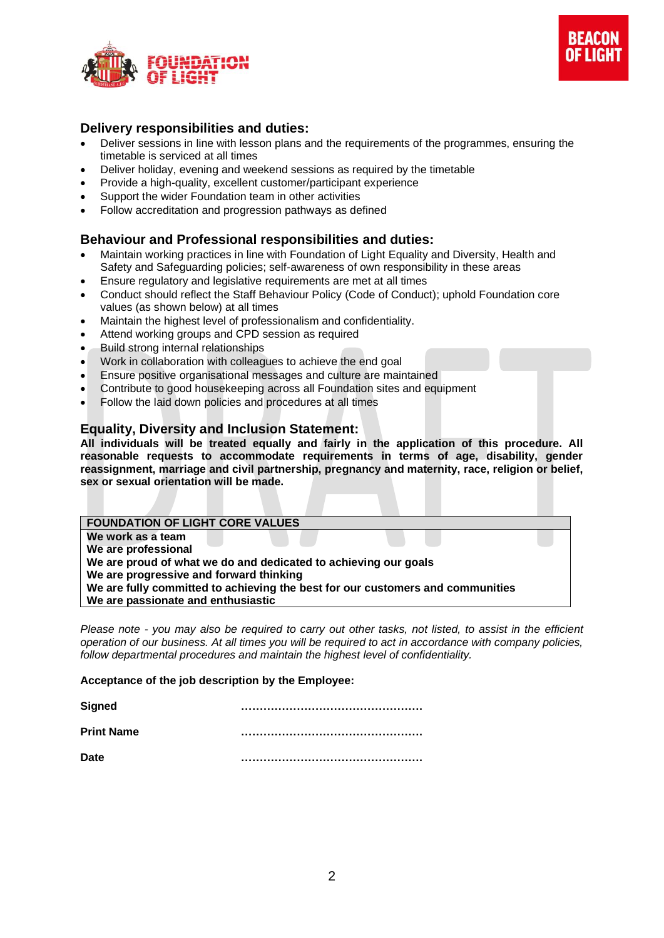



## **Delivery responsibilities and duties:**

- Deliver sessions in line with lesson plans and the requirements of the programmes, ensuring the timetable is serviced at all times
- Deliver holiday, evening and weekend sessions as required by the timetable
- Provide a high-quality, excellent customer/participant experience
- Support the wider Foundation team in other activities
- Follow accreditation and progression pathways as defined

### **Behaviour and Professional responsibilities and duties:**

- Maintain working practices in line with Foundation of Light Equality and Diversity, Health and Safety and Safeguarding policies; self-awareness of own responsibility in these areas
- Ensure regulatory and legislative requirements are met at all times
- Conduct should reflect the Staff Behaviour Policy (Code of Conduct); uphold Foundation core values (as shown below) at all times
- Maintain the highest level of professionalism and confidentiality.
- Attend working groups and CPD session as required
- Build strong internal relationships
- Work in collaboration with colleagues to achieve the end goal
- Ensure positive organisational messages and culture are maintained
- Contribute to good housekeeping across all Foundation sites and equipment
- Follow the laid down policies and procedures at all times

#### **Equality, Diversity and Inclusion Statement:**

**All individuals will be treated equally and fairly in the application of this procedure. All reasonable requests to accommodate requirements in terms of age, disability, gender reassignment, marriage and civil partnership, pregnancy and maternity, race, religion or belief, sex or sexual orientation will be made.**

#### **FOUNDATION OF LIGHT CORE VALUES**

**We work as a team**

**We are professional**

**We are proud of what we do and dedicated to achieving our goals**

- **We are progressive and forward thinking**
- **We are fully committed to achieving the best for our customers and communities**

**We are passionate and enthusiastic**

*Please note - you may also be required to carry out other tasks, not listed, to assist in the efficient operation of our business. At all times you will be required to act in accordance with company policies, follow departmental procedures and maintain the highest level of confidentiality.*

#### **Acceptance of the job description by the Employee:**

| <b>Signed</b>     |  |
|-------------------|--|
| <b>Print Name</b> |  |
| Date              |  |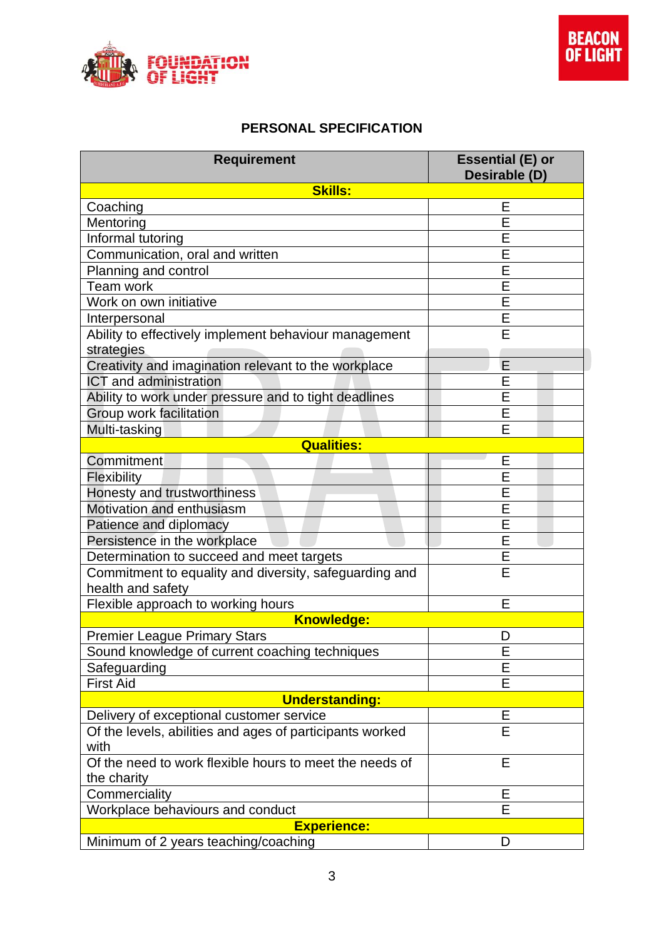

# **PERSONAL SPECIFICATION**

| <b>Requirement</b>                                       | <b>Essential (E) or</b><br>Desirable (D) |  |  |  |
|----------------------------------------------------------|------------------------------------------|--|--|--|
| <b>Skills:</b>                                           |                                          |  |  |  |
| Coaching                                                 | E                                        |  |  |  |
| Mentoring                                                | E                                        |  |  |  |
| Informal tutoring                                        | E                                        |  |  |  |
| Communication, oral and written                          | E                                        |  |  |  |
| Planning and control                                     | Е                                        |  |  |  |
| <b>Team work</b>                                         | Е                                        |  |  |  |
| Work on own initiative                                   | E                                        |  |  |  |
| Interpersonal                                            | E                                        |  |  |  |
| Ability to effectively implement behaviour management    | E                                        |  |  |  |
| strategies                                               |                                          |  |  |  |
| Creativity and imagination relevant to the workplace     | E                                        |  |  |  |
| <b>ICT</b> and administration                            | E                                        |  |  |  |
| Ability to work under pressure and to tight deadlines    | E                                        |  |  |  |
| Group work facilitation                                  | $\overline{\mathsf{E}}$                  |  |  |  |
| Multi-tasking                                            | E                                        |  |  |  |
| <b>Qualities:</b>                                        |                                          |  |  |  |
| Commitment                                               | E                                        |  |  |  |
| Flexibility                                              | E                                        |  |  |  |
| Honesty and trustworthiness                              | E                                        |  |  |  |
| Motivation and enthusiasm                                | E                                        |  |  |  |
| Patience and diplomacy                                   | E                                        |  |  |  |
| Persistence in the workplace                             | E                                        |  |  |  |
| Determination to succeed and meet targets                | E                                        |  |  |  |
| Commitment to equality and diversity, safeguarding and   | E                                        |  |  |  |
| health and safety                                        |                                          |  |  |  |
| Flexible approach to working hours                       | E                                        |  |  |  |
| <b>Knowledge:</b>                                        |                                          |  |  |  |
| <b>Premier League Primary Stars</b>                      | D                                        |  |  |  |
| Sound knowledge of current coaching techniques           | ᄇ                                        |  |  |  |
| Safeguarding                                             | E                                        |  |  |  |
| <b>First Aid</b>                                         | E                                        |  |  |  |
| <b>Understanding:</b>                                    |                                          |  |  |  |
| Delivery of exceptional customer service                 | E                                        |  |  |  |
| Of the levels, abilities and ages of participants worked | E                                        |  |  |  |
| with                                                     |                                          |  |  |  |
| Of the need to work flexible hours to meet the needs of  | E                                        |  |  |  |
| the charity                                              |                                          |  |  |  |
| Commerciality                                            | Ε                                        |  |  |  |
| Workplace behaviours and conduct                         | E                                        |  |  |  |
| <b>Experience:</b>                                       |                                          |  |  |  |
| Minimum of 2 years teaching/coaching                     | D                                        |  |  |  |